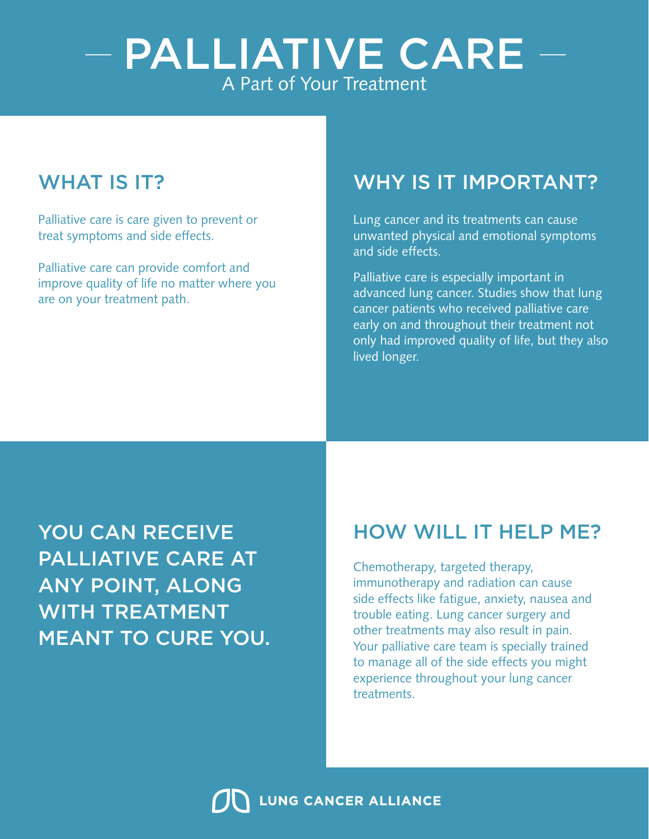# - PALLIATIVE CARE -A Part of Your Treatment

Palliative care is care given to prevent or treat symptoms and side effects.

Palliative care can provide comfort and improve quality of life no matter where you are on your treatment path.

## WHAT IS IT? WHY IS IT IMPORTANT?

Lung cancer and its treatments can cause unwanted physical and emotional symptoms and side effects.

Palliative care is especially important in advanced lung cancer. Studies show that lung cancer patients who received palliative care early on and throughout their treatment not only had improved quality of life, but they also lived longer.

YOU CAN RECEIVE PALLIATIVE CARE AT ANY POINT, ALONG WITH TREATMENT MEANT TO CURE YOU.

#### HOW WILL IT HELP ME?

Chemotherapy, targeted therapy, immunotherapy and radiation can cause side effects like fatigue, anxiety, nausea and trouble eating. Lung cancer surgery and other treatments may also result in pain. Your palliative care team is specially trained to manage all of the side effects you might experience throughout your lung cancer treatments.